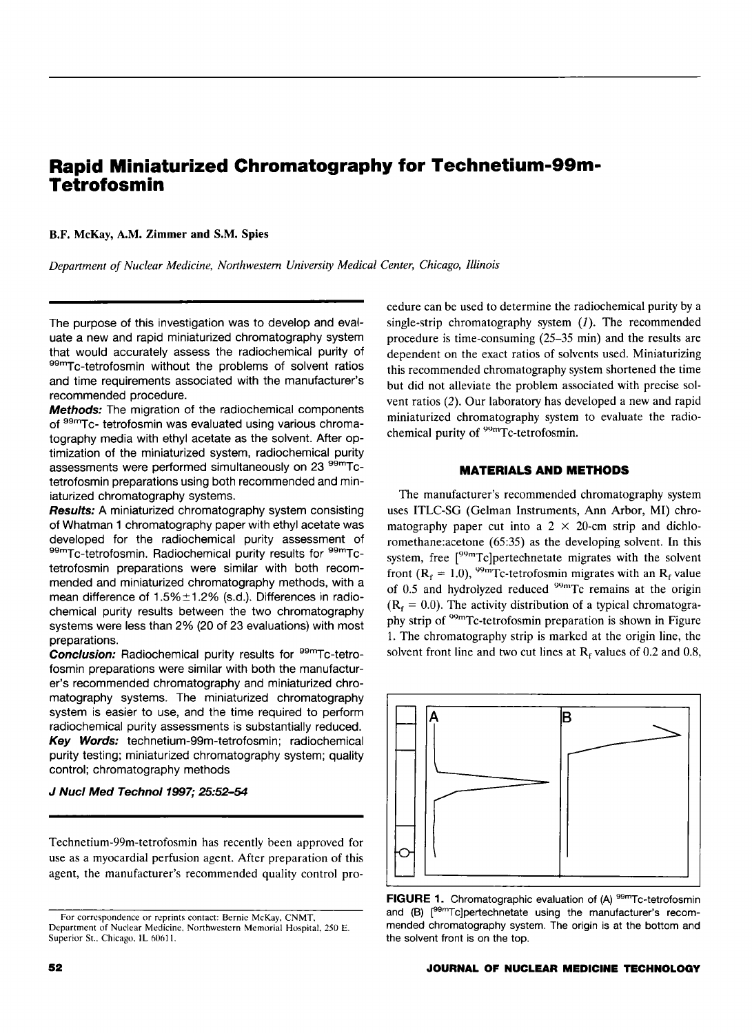# **Rapid Miniaturized Chromatography for Technetium-99m-Tetrofosmin**

B.F. McKay, A.M. Zimmer and S.M. Spies

*Department of Nuclear Medicine, Northwestern University Medical Center, Chicago, Illinois* 

The purpose of this investigation was to develop and evaluate a new and rapid miniaturized chromatography system that would accurately assess the radiochemical purity of 99mTc-tetrofosmin without the problems of solvent ratios and time requirements associated with the manufacturer's recommended procedure.

Methods: The migration of the radiochemical components of 99mTc- tetrofosmin was evaluated using various chromatography media with ethyl acetate as the solvent. After optimization of the miniaturized system, radiochemical purity assessments were performed simultaneously on 23 <sup>99m</sup>Tctetrofosmin preparations using both recommended and miniaturized chromatography systems.

**Results:** A miniaturized chromatography system consisting of Whatman 1 chromatography paper with ethyl acetate was developed for the radiochemical purity assessment of 99mTc-tetrofosmin. Radiochemical purity results for 99mTctetrofosmin preparations were similar with both recommended and miniaturized chromatography methods, with a mean difference of  $1.5\% \pm 1.2\%$  (s.d.). Differences in radiochemical purity results between the two chromatography systems were less than 2% (20 of 23 evaluations) with most preparations.

Conclusion: Radiochemical purity results for <sup>99m</sup>Tc-tetrofosmin preparations were similar with both the manufacturer's recommended chromatography and miniaturized chromatography systems. The miniaturized chromatography system is easier to use, and the time required to perform radiochemical purity assessments is substantially reduced. Key Words: technetium-99m-tetrofosmin; radiochemical purity testing; miniaturized chromatography system; quality control; chromatography methods

## J Nucl Med Technol 1997; 25:52-54

Technetium-99m-tetrofosmin has recently been approved for use as a myocardial perfusion agent. After preparation of this agent, the manufacturer's recommended quality control procedure can be used to determine the radiochemical purity by a single-strip chromatography system  $(1)$ . The recommended procedure is time-consuming (25-35 min) and the results are dependent on the exact ratios of solvents used. Miniaturizing this recommended chromatography system shortened the time but did not alleviate the problem associated with precise solvent ratios (2). Our laboratory has developed a new and rapid miniaturized chromatography system to evaluate the radiochemical purity of <sup>99m</sup>Tc-tetrofosmin.

## **MATERIALS AND METHODS**

The manufacturer's recommended chromatography system uses ITLC-SG (Gelman Instruments, Ann Arbor, MI) chromatography paper cut into a  $2 \times 20$ -cm strip and dichloromethane:acetone (65:35) as the developing solvent. In this system, free [<sup>99m</sup>Tc]pertechnetate migrates with the solvent front ( $R_f = 1.0$ ), <sup>99m</sup>Tc-tetrofosmin migrates with an  $R_f$  value of 0.5 and hydrolyzed reduced  $99m$ Tc remains at the origin  $(R<sub>f</sub> = 0.0)$ . The activity distribution of a typical chromatography strip of <sup>99m</sup>Tc-tetrofosmin preparation is shown in Figure 1. The chromatography strip is marked at the origin line, the solvent front line and two cut lines at  $R_f$  values of 0.2 and 0.8,



**FIGURE 1.** Chromatographic evaluation of (A) <sup>99m</sup>Tc-tetrofosmin and (B) [<sup>99m</sup>Tc]pertechnetate using the manufacturer's recommended chromatography system. The origin is at the bottom and the solvent front is on the top.

For correspondence or reprints contact: Bernie McKay, CNMT, Department of Nuclear Medicine, Northwestern Memorial Hospital, 250 E. Superior St., Chicago, IL 60611.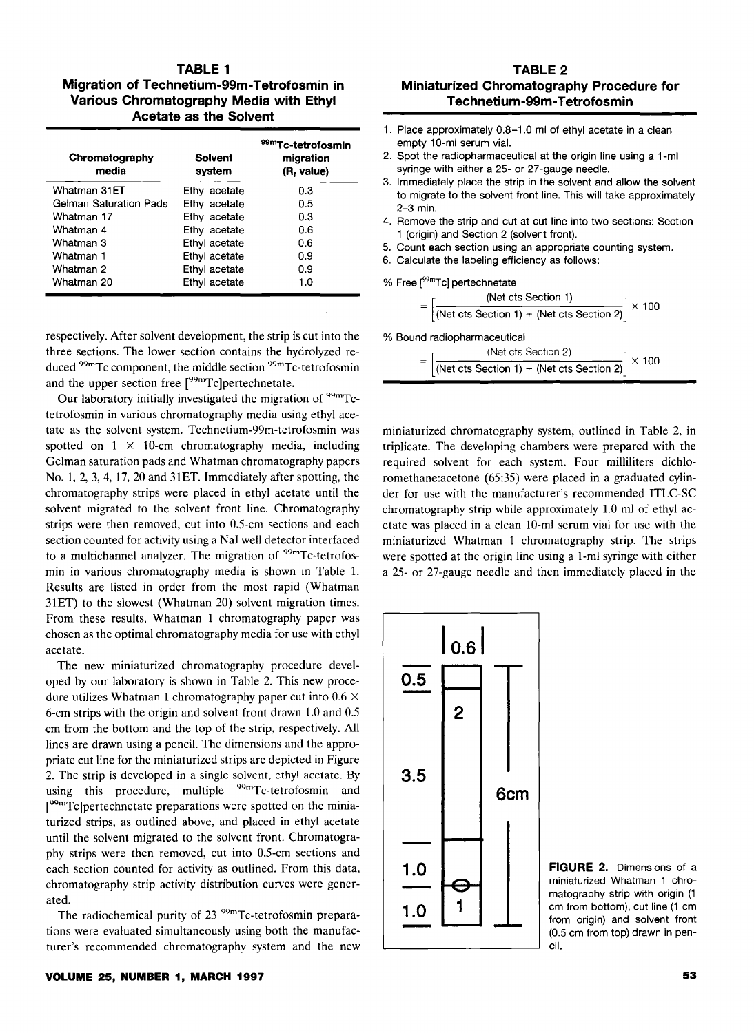## **TABLE 1 Migration of Technetium-99m-Tetrofosmin in Various Chromatography Media with Ethyl Acetate as the Solvent**

| Chromatography<br>media       | Solvent<br>system | 99mTc-tetrofosmin<br>migration<br>(R, value) |
|-------------------------------|-------------------|----------------------------------------------|
| Whatman 31ET                  | Ethyl acetate     | 0.3                                          |
| <b>Gelman Saturation Pads</b> | Ethyl acetate     | 0.5                                          |
| Whatman 17                    | Ethyl acetate     | 0.3                                          |
| Whatman 4                     | Ethyl acetate     | 0.6                                          |
| Whatman 3                     | Ethyl acetate     | 0.6                                          |
| Whatman 1                     | Ethyl acetate     | 0.9                                          |
| Whatman 2                     | Ethyl acetate     | 0.9                                          |
| Whatman 20                    | Ethyl acetate     | 1.0                                          |

respectively. After solvent development, the strip is cut into the three sections. The lower section contains the hydrolyzed reduced <sup>99m</sup>Tc component, the middle section <sup>99m</sup>Tc-tetrofosmin and the upper section free [<sup>99m</sup>Tc]pertechnetate.

Our laboratory initially investigated the migration of  $99mTc$ tetrofosmin in various chromatography media using ethyl acetate as the solvent system. Technetium-99m-tetrofosmin was spotted on  $1 \times 10$ -cm chromatography media, including Gelman saturation pads and Whatman chromatography papers No. 1, 2, 3, 4, 17, 20 and 31ET. Immediately after spotting, the chromatography strips were placed in ethyl acetate until the solvent migrated to the solvent front line. Chromatography strips were then removed, cut into 0.5-cm sections and each section counted for activity using a NaI well detector interfaced to a multichannel analyzer. The migration of <sup>99m</sup>Tc-tetrofosmin in various chromatography media is shown in Table 1. Results are listed in order from the most rapid {Whatman 31ET) to the slowest (Whatman 20) solvent migration times. From these results, Whatman 1 chromatography paper was chosen as the optimal chromatography media for use with ethyl acetate.

The new miniaturized chromatography procedure developed by our laboratory is shown in Table 2. This new procedure utilizes Whatman 1 chromatography paper cut into  $0.6 \times$ 6-cm strips with the origin and solvent front drawn 1.0 and 0.5 em from the bottom and the top of the strip, respectively. All lines are drawn using a pencil. The dimensions and the appropriate cut line for the miniaturized strips are depicted in Figure 2. The strip is developed in a single solvent, ethyl acetate. By using this procedure, multiple <sup>99m</sup>Tc-tetrofosmin and [<sup>99m</sup>Tc]pertechnetate preparations were spotted on the miniaturized strips, as outlined above, and placed in ethyl acetate until the solvent migrated to the solvent front. Chromatography strips were then removed, cut into 0.5-cm sections and each section counted for activity as outlined. From this data, chromatography strip activity distribution curves were generated.

The radiochemical purity of 23 <sup>99m</sup>Tc-tetrofosmin preparations were evaluated simultaneously using both the manufacturer's recommended chromatography system and the new

## **TABLE 2 Miniaturized Chromatography Procedure for Technetium-99m-Tetrofosmin**

- 1. Place approximately 0.8-1.0 ml of ethyl acetate in a clean empty 10-ml serum vial.
- 2. Spot the radiopharmaceutical at the origin line using a 1-ml syringe with either a 25- or 27-gauge needle.
- 3. Immediately place the strip in the solvent and allow the solvent to migrate to the solvent front line. This will take approximately 2-3 min.
- 4. Remove the strip and cut at cut line into two sections: Section 1 (origin) and Section 2 (solvent front).
- 5. Count each section using an appropriate counting system.
- 6. Calculate the labeling efficiency as follows:

% Free  $\mathfrak{l}^{99\mathsf{m}}$ Tc] pertechnetate

$$
= \left[\frac{\text{(Net cts Section 1)}}{\text{(Net cts Section 1)} + \text{(Net cts Section 2)}}\right] \times 100
$$

% Bound radiopharmaceutical

$$
= \left[\frac{\text{(Net cts Section 2)}}{\text{(Net cts Section 1)} + \text{(Net cts Section 2)}}\right] \times 100
$$

miniaturized chromatography system, outlined in Table 2, in triplicate. The developing chambers were prepared with the required solvent for each system. Four milliliters dichloromethane:acetone (65:35) were placed in a graduated cylinder for use with the manufacturer's recommended ITLC-SC chromatography strip while approximately 1.0 ml of ethyl acetate was placed in a clean 10-ml serum vial for use with the miniaturized Whatman 1 chromatography strip. The strips were spotted at the origin line using a 1-ml syringe with either a 25- or 27-gauge needle and then immediately placed in the

**I o.sl 0.5 2 3.5 1.0**   $\begin{array}{c|c} 1.0 & \rightarrow \ \hline 1.0 & 1 \end{array}$ **6cm** 

**FIGURE 2.** Dimensions of a miniaturized Whatman 1 chromatography strip with origin (1 em from bottom), cut line (1 em from origin) and solvent front (0.5 em from top) drawn in pencil.